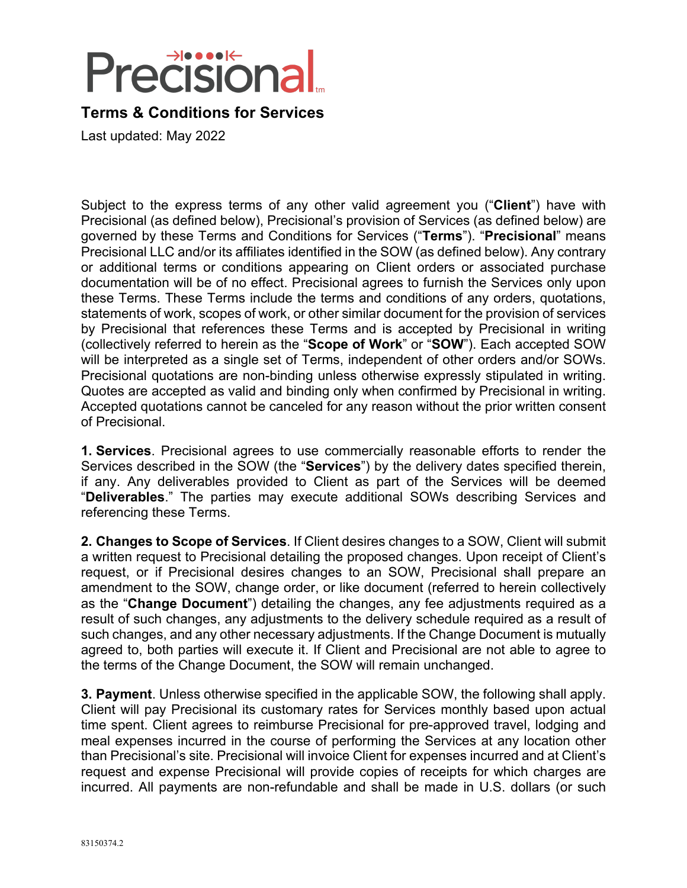# **Precisiona**

## **Terms & Conditions for Services**

Last updated: May 2022

Subject to the express terms of any other valid agreement you ("**Client**") have with Precisional (as defined below), Precisional's provision of Services (as defined below) are governed by these Terms and Conditions for Services ("**Terms**"). "**Precisional**" means Precisional LLC and/or its affiliates identified in the SOW (as defined below). Any contrary or additional terms or conditions appearing on Client orders or associated purchase documentation will be of no effect. Precisional agrees to furnish the Services only upon these Terms. These Terms include the terms and conditions of any orders, quotations, statements of work, scopes of work, or other similar document for the provision of services by Precisional that references these Terms and is accepted by Precisional in writing (collectively referred to herein as the "**Scope of Work**" or "**SOW**"). Each accepted SOW will be interpreted as a single set of Terms, independent of other orders and/or SOWs. Precisional quotations are non-binding unless otherwise expressly stipulated in writing. Quotes are accepted as valid and binding only when confirmed by Precisional in writing. Accepted quotations cannot be canceled for any reason without the prior written consent of Precisional.

**1. Services**. Precisional agrees to use commercially reasonable efforts to render the Services described in the SOW (the "**Services**") by the delivery dates specified therein, if any. Any deliverables provided to Client as part of the Services will be deemed "**Deliverables**." The parties may execute additional SOWs describing Services and referencing these Terms.

**2. Changes to Scope of Services**. If Client desires changes to a SOW, Client will submit a written request to Precisional detailing the proposed changes. Upon receipt of Client's request, or if Precisional desires changes to an SOW, Precisional shall prepare an amendment to the SOW, change order, or like document (referred to herein collectively as the "**Change Document**") detailing the changes, any fee adjustments required as a result of such changes, any adjustments to the delivery schedule required as a result of such changes, and any other necessary adjustments. If the Change Document is mutually agreed to, both parties will execute it. If Client and Precisional are not able to agree to the terms of the Change Document, the SOW will remain unchanged.

**3. Payment**. Unless otherwise specified in the applicable SOW, the following shall apply. Client will pay Precisional its customary rates for Services monthly based upon actual time spent. Client agrees to reimburse Precisional for pre-approved travel, lodging and meal expenses incurred in the course of performing the Services at any location other than Precisional's site. Precisional will invoice Client for expenses incurred and at Client's request and expense Precisional will provide copies of receipts for which charges are incurred. All payments are non-refundable and shall be made in U.S. dollars (or such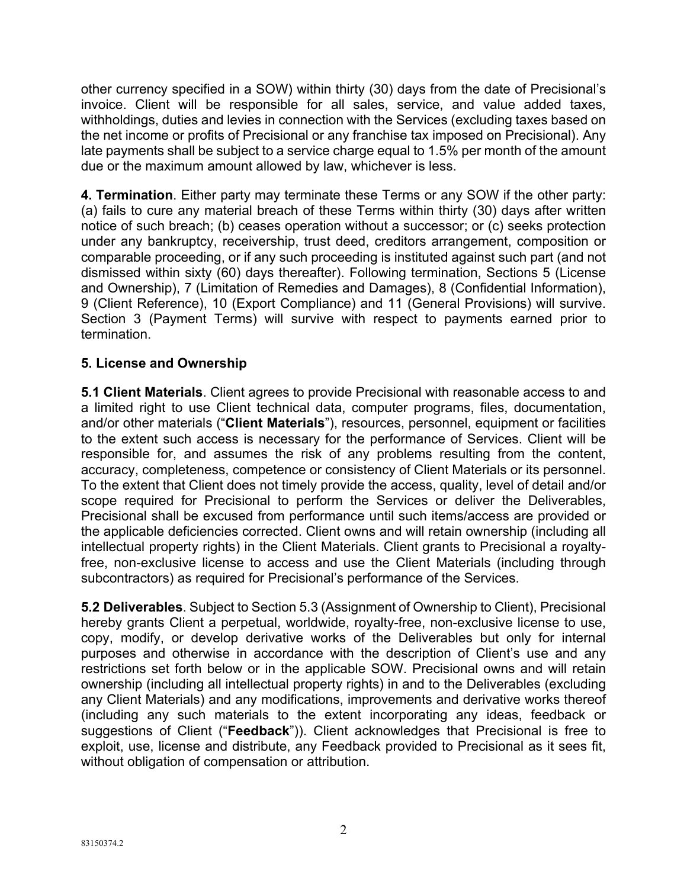other currency specified in a SOW) within thirty (30) days from the date of Precisional's invoice. Client will be responsible for all sales, service, and value added taxes, withholdings, duties and levies in connection with the Services (excluding taxes based on the net income or profits of Precisional or any franchise tax imposed on Precisional). Any late payments shall be subject to a service charge equal to 1.5% per month of the amount due or the maximum amount allowed by law, whichever is less.

**4. Termination**. Either party may terminate these Terms or any SOW if the other party: (a) fails to cure any material breach of these Terms within thirty (30) days after written notice of such breach; (b) ceases operation without a successor; or (c) seeks protection under any bankruptcy, receivership, trust deed, creditors arrangement, composition or comparable proceeding, or if any such proceeding is instituted against such part (and not dismissed within sixty (60) days thereafter). Following termination, Sections 5 (License and Ownership), 7 (Limitation of Remedies and Damages), 8 (Confidential Information), 9 (Client Reference), 10 (Export Compliance) and 11 (General Provisions) will survive. Section 3 (Payment Terms) will survive with respect to payments earned prior to termination.

#### **5. License and Ownership**

**5.1 Client Materials**. Client agrees to provide Precisional with reasonable access to and a limited right to use Client technical data, computer programs, files, documentation, and/or other materials ("**Client Materials**"), resources, personnel, equipment or facilities to the extent such access is necessary for the performance of Services. Client will be responsible for, and assumes the risk of any problems resulting from the content, accuracy, completeness, competence or consistency of Client Materials or its personnel. To the extent that Client does not timely provide the access, quality, level of detail and/or scope required for Precisional to perform the Services or deliver the Deliverables, Precisional shall be excused from performance until such items/access are provided or the applicable deficiencies corrected. Client owns and will retain ownership (including all intellectual property rights) in the Client Materials. Client grants to Precisional a royaltyfree, non-exclusive license to access and use the Client Materials (including through subcontractors) as required for Precisional's performance of the Services.

**5.2 Deliverables**. Subject to Section 5.3 (Assignment of Ownership to Client), Precisional hereby grants Client a perpetual, worldwide, royalty-free, non-exclusive license to use, copy, modify, or develop derivative works of the Deliverables but only for internal purposes and otherwise in accordance with the description of Client's use and any restrictions set forth below or in the applicable SOW. Precisional owns and will retain ownership (including all intellectual property rights) in and to the Deliverables (excluding any Client Materials) and any modifications, improvements and derivative works thereof (including any such materials to the extent incorporating any ideas, feedback or suggestions of Client ("**Feedback**")). Client acknowledges that Precisional is free to exploit, use, license and distribute, any Feedback provided to Precisional as it sees fit, without obligation of compensation or attribution.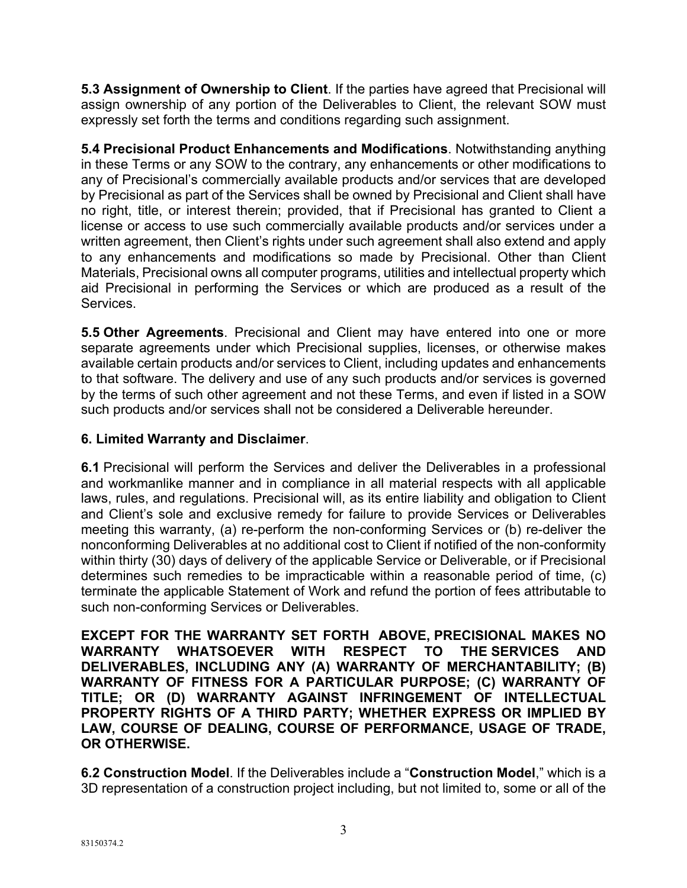**5.3 Assignment of Ownership to Client**. If the parties have agreed that Precisional will assign ownership of any portion of the Deliverables to Client, the relevant SOW must expressly set forth the terms and conditions regarding such assignment.

**5.4 Precisional Product Enhancements and Modifications**. Notwithstanding anything in these Terms or any SOW to the contrary, any enhancements or other modifications to any of Precisional's commercially available products and/or services that are developed by Precisional as part of the Services shall be owned by Precisional and Client shall have no right, title, or interest therein; provided, that if Precisional has granted to Client a license or access to use such commercially available products and/or services under a written agreement, then Client's rights under such agreement shall also extend and apply to any enhancements and modifications so made by Precisional. Other than Client Materials, Precisional owns all computer programs, utilities and intellectual property which aid Precisional in performing the Services or which are produced as a result of the Services.

**5.5 Other Agreements**. Precisional and Client may have entered into one or more separate agreements under which Precisional supplies, licenses, or otherwise makes available certain products and/or services to Client, including updates and enhancements to that software. The delivery and use of any such products and/or services is governed by the terms of such other agreement and not these Terms, and even if listed in a SOW such products and/or services shall not be considered a Deliverable hereunder.

#### **6. Limited Warranty and Disclaimer**.

**6.1** Precisional will perform the Services and deliver the Deliverables in a professional and workmanlike manner and in compliance in all material respects with all applicable laws, rules, and regulations. Precisional will, as its entire liability and obligation to Client and Client's sole and exclusive remedy for failure to provide Services or Deliverables meeting this warranty, (a) re-perform the non-conforming Services or (b) re-deliver the nonconforming Deliverables at no additional cost to Client if notified of the non-conformity within thirty (30) days of delivery of the applicable Service or Deliverable, or if Precisional determines such remedies to be impracticable within a reasonable period of time, (c) terminate the applicable Statement of Work and refund the portion of fees attributable to such non-conforming Services or Deliverables.

**EXCEPT FOR THE WARRANTY SET FORTH ABOVE, PRECISIONAL MAKES NO WARRANTY WHATSOEVER WITH RESPECT TO THE SERVICES AND DELIVERABLES, INCLUDING ANY (A) WARRANTY OF MERCHANTABILITY; (B) WARRANTY OF FITNESS FOR A PARTICULAR PURPOSE; (C) WARRANTY OF TITLE; OR (D) WARRANTY AGAINST INFRINGEMENT OF INTELLECTUAL PROPERTY RIGHTS OF A THIRD PARTY; WHETHER EXPRESS OR IMPLIED BY LAW, COURSE OF DEALING, COURSE OF PERFORMANCE, USAGE OF TRADE, OR OTHERWISE.**

**6.2 Construction Model**. If the Deliverables include a "**Construction Model**," which is a 3D representation of a construction project including, but not limited to, some or all of the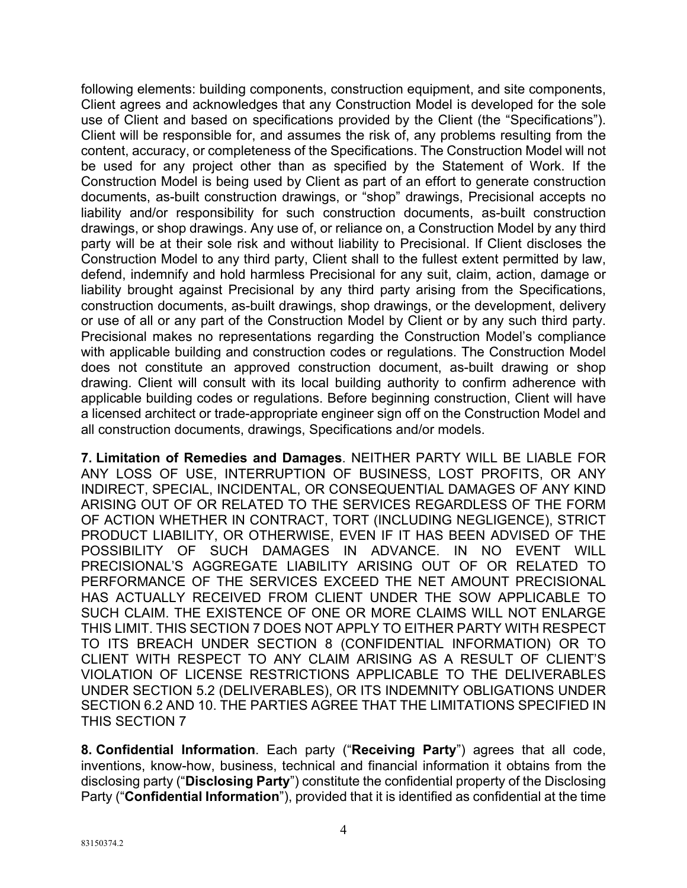following elements: building components, construction equipment, and site components, Client agrees and acknowledges that any Construction Model is developed for the sole use of Client and based on specifications provided by the Client (the "Specifications"). Client will be responsible for, and assumes the risk of, any problems resulting from the content, accuracy, or completeness of the Specifications. The Construction Model will not be used for any project other than as specified by the Statement of Work. If the Construction Model is being used by Client as part of an effort to generate construction documents, as-built construction drawings, or "shop" drawings, Precisional accepts no liability and/or responsibility for such construction documents, as-built construction drawings, or shop drawings. Any use of, or reliance on, a Construction Model by any third party will be at their sole risk and without liability to Precisional. If Client discloses the Construction Model to any third party, Client shall to the fullest extent permitted by law, defend, indemnify and hold harmless Precisional for any suit, claim, action, damage or liability brought against Precisional by any third party arising from the Specifications, construction documents, as-built drawings, shop drawings, or the development, delivery or use of all or any part of the Construction Model by Client or by any such third party. Precisional makes no representations regarding the Construction Model's compliance with applicable building and construction codes or regulations. The Construction Model does not constitute an approved construction document, as-built drawing or shop drawing. Client will consult with its local building authority to confirm adherence with applicable building codes or regulations. Before beginning construction, Client will have a licensed architect or trade-appropriate engineer sign off on the Construction Model and all construction documents, drawings, Specifications and/or models.

**7. Limitation of Remedies and Damages**. NEITHER PARTY WILL BE LIABLE FOR ANY LOSS OF USE, INTERRUPTION OF BUSINESS, LOST PROFITS, OR ANY INDIRECT, SPECIAL, INCIDENTAL, OR CONSEQUENTIAL DAMAGES OF ANY KIND ARISING OUT OF OR RELATED TO THE SERVICES REGARDLESS OF THE FORM OF ACTION WHETHER IN CONTRACT, TORT (INCLUDING NEGLIGENCE), STRICT PRODUCT LIABILITY, OR OTHERWISE, EVEN IF IT HAS BEEN ADVISED OF THE POSSIBILITY OF SUCH DAMAGES IN ADVANCE. IN NO EVENT WILL PRECISIONAL'S AGGREGATE LIABILITY ARISING OUT OF OR RELATED TO PERFORMANCE OF THE SERVICES EXCEED THE NET AMOUNT PRECISIONAL HAS ACTUALLY RECEIVED FROM CLIENT UNDER THE SOW APPLICABLE TO SUCH CLAIM. THE EXISTENCE OF ONE OR MORE CLAIMS WILL NOT ENLARGE THIS LIMIT. THIS SECTION 7 DOES NOT APPLY TO EITHER PARTY WITH RESPECT TO ITS BREACH UNDER SECTION 8 (CONFIDENTIAL INFORMATION) OR TO CLIENT WITH RESPECT TO ANY CLAIM ARISING AS A RESULT OF CLIENT'S VIOLATION OF LICENSE RESTRICTIONS APPLICABLE TO THE DELIVERABLES UNDER SECTION 5.2 (DELIVERABLES), OR ITS INDEMNITY OBLIGATIONS UNDER SECTION 6.2 AND 10. THE PARTIES AGREE THAT THE LIMITATIONS SPECIFIED IN THIS SECTION 7

**8. Confidential Information**. Each party ("**Receiving Party**") agrees that all code, inventions, know-how, business, technical and financial information it obtains from the disclosing party ("**Disclosing Party**") constitute the confidential property of the Disclosing Party ("**Confidential Information**"), provided that it is identified as confidential at the time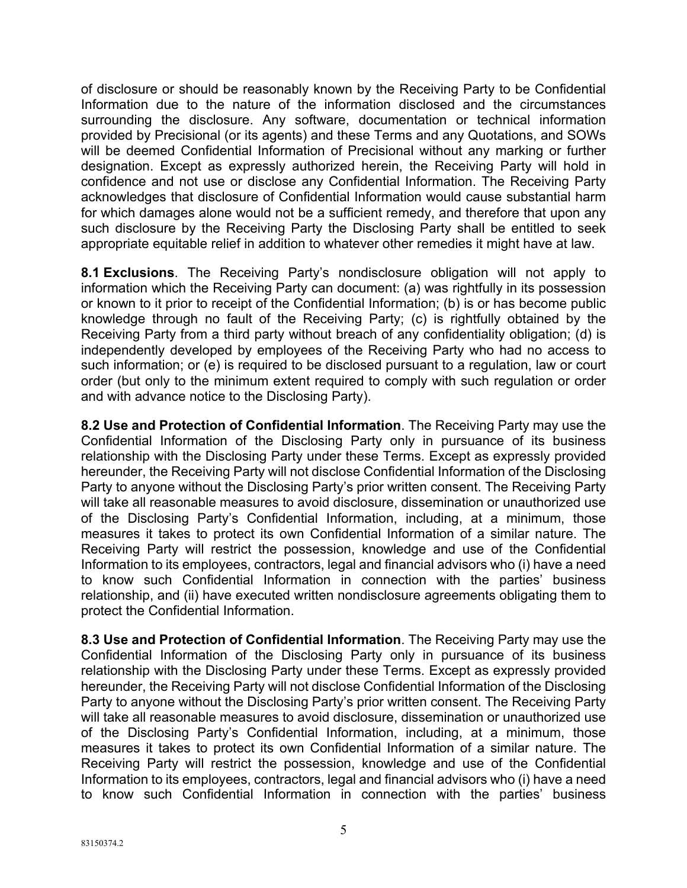of disclosure or should be reasonably known by the Receiving Party to be Confidential Information due to the nature of the information disclosed and the circumstances surrounding the disclosure. Any software, documentation or technical information provided by Precisional (or its agents) and these Terms and any Quotations, and SOWs will be deemed Confidential Information of Precisional without any marking or further designation. Except as expressly authorized herein, the Receiving Party will hold in confidence and not use or disclose any Confidential Information. The Receiving Party acknowledges that disclosure of Confidential Information would cause substantial harm for which damages alone would not be a sufficient remedy, and therefore that upon any such disclosure by the Receiving Party the Disclosing Party shall be entitled to seek appropriate equitable relief in addition to whatever other remedies it might have at law.

**8.1 Exclusions**. The Receiving Party's nondisclosure obligation will not apply to information which the Receiving Party can document: (a) was rightfully in its possession or known to it prior to receipt of the Confidential Information; (b) is or has become public knowledge through no fault of the Receiving Party; (c) is rightfully obtained by the Receiving Party from a third party without breach of any confidentiality obligation; (d) is independently developed by employees of the Receiving Party who had no access to such information; or (e) is required to be disclosed pursuant to a regulation, law or court order (but only to the minimum extent required to comply with such regulation or order and with advance notice to the Disclosing Party).

**8.2 Use and Protection of Confidential Information**. The Receiving Party may use the Confidential Information of the Disclosing Party only in pursuance of its business relationship with the Disclosing Party under these Terms. Except as expressly provided hereunder, the Receiving Party will not disclose Confidential Information of the Disclosing Party to anyone without the Disclosing Party's prior written consent. The Receiving Party will take all reasonable measures to avoid disclosure, dissemination or unauthorized use of the Disclosing Party's Confidential Information, including, at a minimum, those measures it takes to protect its own Confidential Information of a similar nature. The Receiving Party will restrict the possession, knowledge and use of the Confidential Information to its employees, contractors, legal and financial advisors who (i) have a need to know such Confidential Information in connection with the parties' business relationship, and (ii) have executed written nondisclosure agreements obligating them to protect the Confidential Information.

**8.3 Use and Protection of Confidential Information**. The Receiving Party may use the Confidential Information of the Disclosing Party only in pursuance of its business relationship with the Disclosing Party under these Terms. Except as expressly provided hereunder, the Receiving Party will not disclose Confidential Information of the Disclosing Party to anyone without the Disclosing Party's prior written consent. The Receiving Party will take all reasonable measures to avoid disclosure, dissemination or unauthorized use of the Disclosing Party's Confidential Information, including, at a minimum, those measures it takes to protect its own Confidential Information of a similar nature. The Receiving Party will restrict the possession, knowledge and use of the Confidential Information to its employees, contractors, legal and financial advisors who (i) have a need to know such Confidential Information in connection with the parties' business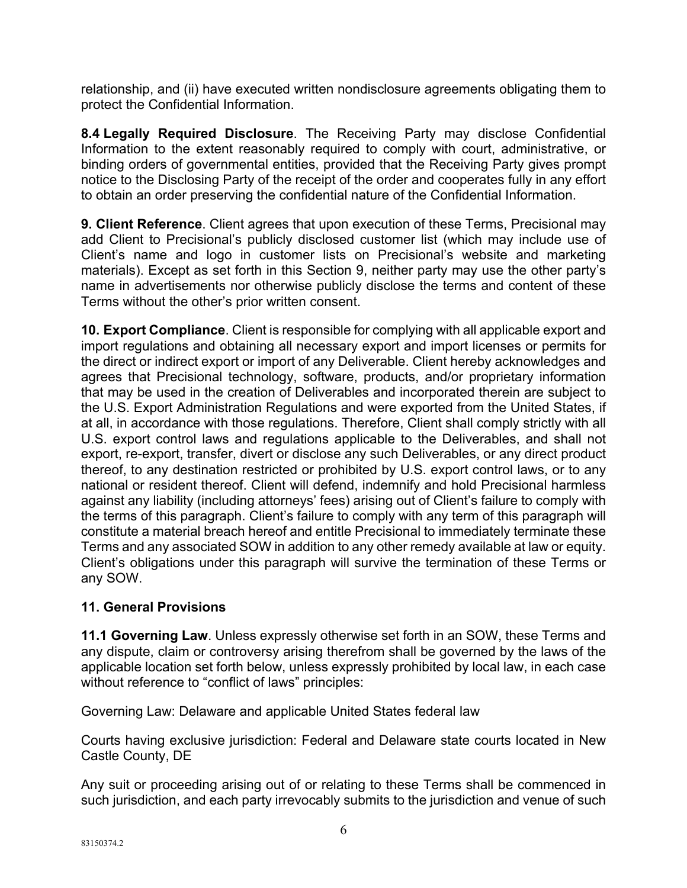relationship, and (ii) have executed written nondisclosure agreements obligating them to protect the Confidential Information.

**8.4 Legally Required Disclosure**. The Receiving Party may disclose Confidential Information to the extent reasonably required to comply with court, administrative, or binding orders of governmental entities, provided that the Receiving Party gives prompt notice to the Disclosing Party of the receipt of the order and cooperates fully in any effort to obtain an order preserving the confidential nature of the Confidential Information.

**9. Client Reference**. Client agrees that upon execution of these Terms, Precisional may add Client to Precisional's publicly disclosed customer list (which may include use of Client's name and logo in customer lists on Precisional's website and marketing materials). Except as set forth in this Section 9, neither party may use the other party's name in advertisements nor otherwise publicly disclose the terms and content of these Terms without the other's prior written consent.

**10. Export Compliance**. Client is responsible for complying with all applicable export and import regulations and obtaining all necessary export and import licenses or permits for the direct or indirect export or import of any Deliverable. Client hereby acknowledges and agrees that Precisional technology, software, products, and/or proprietary information that may be used in the creation of Deliverables and incorporated therein are subject to the U.S. Export Administration Regulations and were exported from the United States, if at all, in accordance with those regulations. Therefore, Client shall comply strictly with all U.S. export control laws and regulations applicable to the Deliverables, and shall not export, re-export, transfer, divert or disclose any such Deliverables, or any direct product thereof, to any destination restricted or prohibited by U.S. export control laws, or to any national or resident thereof. Client will defend, indemnify and hold Precisional harmless against any liability (including attorneys' fees) arising out of Client's failure to comply with the terms of this paragraph. Client's failure to comply with any term of this paragraph will constitute a material breach hereof and entitle Precisional to immediately terminate these Terms and any associated SOW in addition to any other remedy available at law or equity. Client's obligations under this paragraph will survive the termination of these Terms or any SOW.

### **11. General Provisions**

**11.1 Governing Law**. Unless expressly otherwise set forth in an SOW, these Terms and any dispute, claim or controversy arising therefrom shall be governed by the laws of the applicable location set forth below, unless expressly prohibited by local law, in each case without reference to "conflict of laws" principles:

Governing Law: Delaware and applicable United States federal law

Courts having exclusive jurisdiction: Federal and Delaware state courts located in New Castle County, DE

Any suit or proceeding arising out of or relating to these Terms shall be commenced in such jurisdiction, and each party irrevocably submits to the jurisdiction and venue of such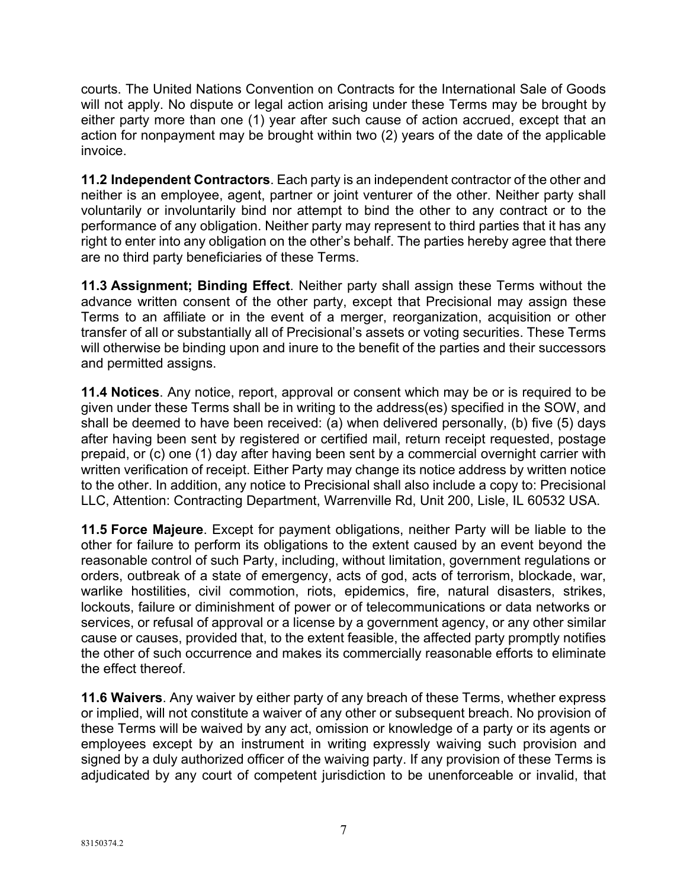courts. The United Nations Convention on Contracts for the International Sale of Goods will not apply. No dispute or legal action arising under these Terms may be brought by either party more than one (1) year after such cause of action accrued, except that an action for nonpayment may be brought within two (2) years of the date of the applicable invoice.

**11.2 Independent Contractors**. Each party is an independent contractor of the other and neither is an employee, agent, partner or joint venturer of the other. Neither party shall voluntarily or involuntarily bind nor attempt to bind the other to any contract or to the performance of any obligation. Neither party may represent to third parties that it has any right to enter into any obligation on the other's behalf. The parties hereby agree that there are no third party beneficiaries of these Terms.

**11.3 Assignment; Binding Effect**. Neither party shall assign these Terms without the advance written consent of the other party, except that Precisional may assign these Terms to an affiliate or in the event of a merger, reorganization, acquisition or other transfer of all or substantially all of Precisional's assets or voting securities. These Terms will otherwise be binding upon and inure to the benefit of the parties and their successors and permitted assigns.

**11.4 Notices**. Any notice, report, approval or consent which may be or is required to be given under these Terms shall be in writing to the address(es) specified in the SOW, and shall be deemed to have been received: (a) when delivered personally, (b) five (5) days after having been sent by registered or certified mail, return receipt requested, postage prepaid, or (c) one (1) day after having been sent by a commercial overnight carrier with written verification of receipt. Either Party may change its notice address by written notice to the other. In addition, any notice to Precisional shall also include a copy to: Precisional LLC, Attention: Contracting Department, Warrenville Rd, Unit 200, Lisle, IL 60532 USA.

**11.5 Force Majeure**. Except for payment obligations, neither Party will be liable to the other for failure to perform its obligations to the extent caused by an event beyond the reasonable control of such Party, including, without limitation, government regulations or orders, outbreak of a state of emergency, acts of god, acts of terrorism, blockade, war, warlike hostilities, civil commotion, riots, epidemics, fire, natural disasters, strikes, lockouts, failure or diminishment of power or of telecommunications or data networks or services, or refusal of approval or a license by a government agency, or any other similar cause or causes, provided that, to the extent feasible, the affected party promptly notifies the other of such occurrence and makes its commercially reasonable efforts to eliminate the effect thereof.

**11.6 Waivers**. Any waiver by either party of any breach of these Terms, whether express or implied, will not constitute a waiver of any other or subsequent breach. No provision of these Terms will be waived by any act, omission or knowledge of a party or its agents or employees except by an instrument in writing expressly waiving such provision and signed by a duly authorized officer of the waiving party. If any provision of these Terms is adjudicated by any court of competent jurisdiction to be unenforceable or invalid, that